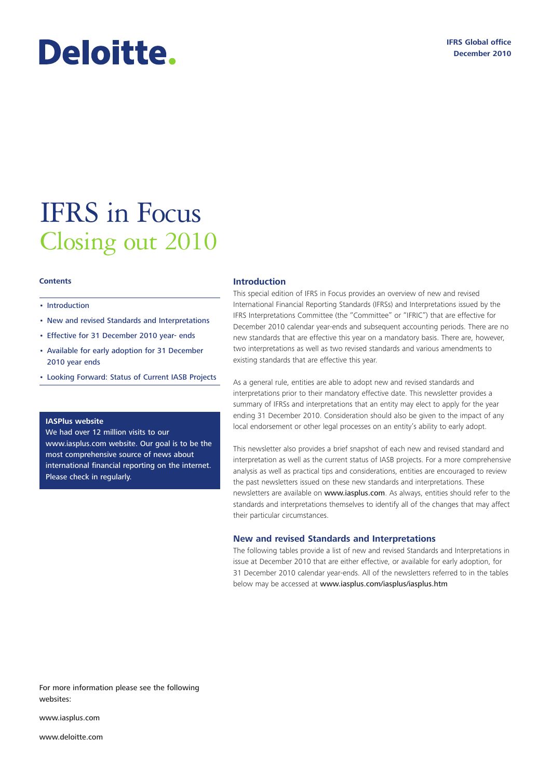# Deloitte.

## IFRS in Focus Closing out 2010

#### **Contents**

#### • Introduction

- New and revised Standards and Interpretations
- [Effective for 31 December 2010 year- ends](#page-2-0)
- [Available for early adoption for 31 December](#page-5-0) 2010 year ends
- [Looking Forward: Status of Current IASB Projects](#page-10-0)

#### **IASPlus website**

We had over 12 million visits to our www.iasplus.com website. Our goal is to be the most comprehensive source of news about international financial reporting on the internet. Please check in regularly.

#### **Introduction**

This special edition of IFRS in Focus provides an overview of new and revised International Financial Reporting Standards (IFRSs) and Interpretations issued by the IFRS Interpretations Committee (the "Committee" or "IFRIC") that are effective for December 2010 calendar year-ends and subsequent accounting periods. There are no new standards that are effective this year on a mandatory basis. There are, however, two interpretations as well as two revised standards and various amendments to existing standards that are effective this year.

As a general rule, entities are able to adopt new and revised standards and interpretations prior to their mandatory effective date. This newsletter provides a summary of IFRSs and interpretations that an entity may elect to apply for the year ending 31 December 2010. Consideration should also be given to the impact of any local endorsement or other legal processes on an entity's ability to early adopt.

This newsletter also provides a brief snapshot of each new and revised standard and interpretation as well as the current status of IASB projects. For a more comprehensive analysis as well as practical tips and considerations, entities are encouraged to review the past newsletters issued on these new standards and interpretations. These newsletters are available on www.iasplus.com. As always, entities should refer to the standards and interpretations themselves to identify all of the changes that may affect their particular circumstances.

#### **New and revised Standards and Interpretations**

The following tables provide a list of new and revised Standards and Interpretations in issue at December 2010 that are either effective, or available for early adoption, for 31 December 2010 calendar year-ends. All of the newsletters referred to in the tables below may be accessed at www.iasplus.com/iasplus/iasplus.htm

For more information please see the following websites:

www.iasplus.com

www.deloitte.com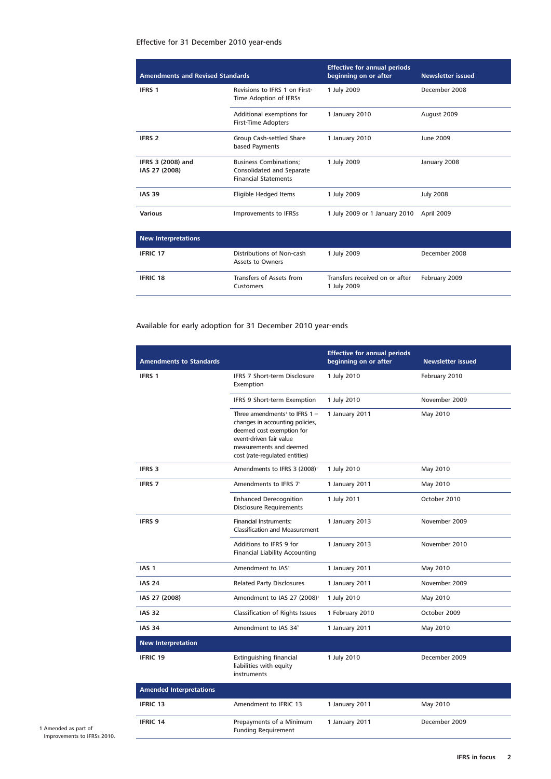#### Effective for 31 December 2010 year-ends

| <b>Amendments and Revised Standards</b> |                                                                                           | <b>Effective for annual periods</b><br>beginning on or after | <b>Newsletter issued</b> |
|-----------------------------------------|-------------------------------------------------------------------------------------------|--------------------------------------------------------------|--------------------------|
| <b>IFRS 1</b>                           | Revisions to IFRS 1 on First-<br>Time Adoption of IFRSs                                   | 1 July 2009                                                  | December 2008            |
|                                         | Additional exemptions for<br><b>First-Time Adopters</b>                                   | 1 January 2010                                               | August 2009              |
| <b>IFRS 2</b>                           | Group Cash-settled Share<br>based Payments                                                | 1 January 2010                                               | June 2009                |
| IFRS 3 (2008) and<br>IAS 27 (2008)      | <b>Business Combinations:</b><br>Consolidated and Separate<br><b>Financial Statements</b> | 1 July 2009                                                  | January 2008             |
| <b>IAS 39</b>                           | Eligible Hedged Items                                                                     | 1 July 2009                                                  | <b>July 2008</b>         |
| <b>Various</b>                          | Improvements to IFRSs                                                                     | 1 July 2009 or 1 January 2010                                | April 2009               |
| <b>New Interpretations</b>              |                                                                                           |                                                              |                          |
| <b>IFRIC 17</b>                         | Distributions of Non-cash<br><b>Assets to Owners</b>                                      | 1 July 2009                                                  | December 2008            |
| <b>IFRIC 18</b>                         | Transfers of Assets from                                                                  | Transfers received on or after                               | February 2009            |

1 July 2009

### Available for early adoption for 31 December 2010 year-ends

Customers

| <b>Amendments to Standards</b> |                                                                                                                                                                                                     | <b>Effective for annual periods</b><br>beginning on or after | <b>Newsletter issued</b> |
|--------------------------------|-----------------------------------------------------------------------------------------------------------------------------------------------------------------------------------------------------|--------------------------------------------------------------|--------------------------|
| <b>IFRS 1</b>                  | IFRS 7 Short-term Disclosure<br>Exemption                                                                                                                                                           | 1 July 2010                                                  | February 2010            |
|                                | IFRS 9 Short-term Exemption                                                                                                                                                                         | 1 July 2010                                                  | November 2009            |
|                                | Three amendments <sup>1</sup> to IFRS $1 -$<br>changes in accounting policies,<br>deemed cost exemption for<br>event-driven fair value<br>measurements and deemed<br>cost (rate-regulated entities) | 1 January 2011                                               | May 2010                 |
| <b>IFRS 3</b>                  | Amendments to IFRS 3 (2008) <sup>1</sup>                                                                                                                                                            | 1 July 2010                                                  | May 2010                 |
| <b>IFRS 7</b>                  | Amendments to IFRS 71                                                                                                                                                                               | 1 January 2011                                               | May 2010                 |
|                                | <b>Enhanced Derecognition</b><br><b>Disclosure Requirements</b>                                                                                                                                     | 1 July 2011                                                  | October 2010             |
| <b>IFRS 9</b>                  | <b>Financial Instruments:</b><br><b>Classification and Measurement</b>                                                                                                                              | 1 January 2013                                               | November 2009            |
|                                | Additions to IFRS 9 for<br><b>Financial Liability Accounting</b>                                                                                                                                    | 1 January 2013                                               | November 2010            |
| IAS <sub>1</sub>               | Amendment to IAS <sup>1</sup>                                                                                                                                                                       | 1 January 2011                                               | May 2010                 |
| <b>IAS 24</b>                  | <b>Related Party Disclosures</b>                                                                                                                                                                    | 1 January 2011                                               | November 2009            |
| IAS 27 (2008)                  | Amendment to IAS 27 (2008) <sup>1</sup>                                                                                                                                                             | 1 July 2010                                                  | May 2010                 |
| <b>IAS 32</b>                  | Classification of Rights Issues                                                                                                                                                                     | 1 February 2010                                              | October 2009             |
| <b>IAS 34</b>                  | Amendment to IAS 34 <sup>1</sup>                                                                                                                                                                    | 1 January 2011                                               | May 2010                 |
| <b>New Interpretation</b>      |                                                                                                                                                                                                     |                                                              |                          |
| <b>IFRIC 19</b>                | Extinguishing financial<br>liabilities with equity<br>instruments                                                                                                                                   | 1 July 2010                                                  | December 2009            |
| <b>Amended Interpretations</b> |                                                                                                                                                                                                     |                                                              |                          |
| <b>IFRIC 13</b>                | Amendment to IFRIC 13                                                                                                                                                                               | 1 January 2011                                               | May 2010                 |
| <b>IFRIC 14</b>                | Prepayments of a Minimum<br><b>Funding Requirement</b>                                                                                                                                              | 1 January 2011                                               | December 2009            |

1 Amended as part of Improvements to IFRSs 2010.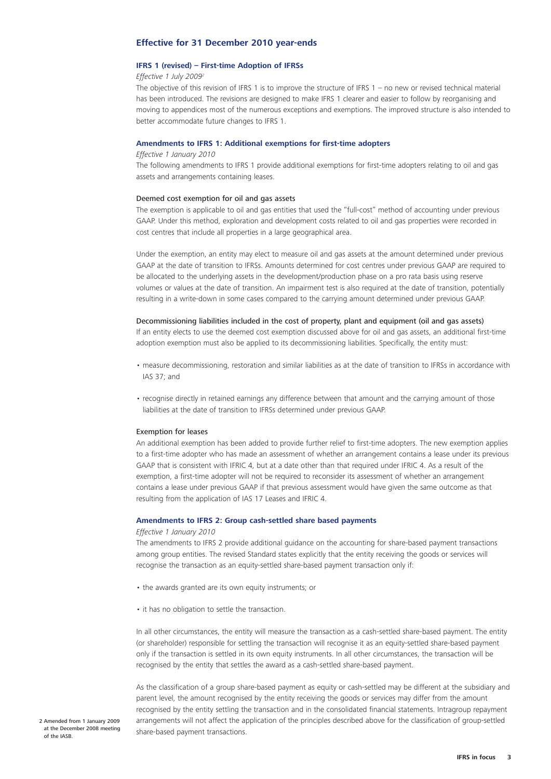#### <span id="page-2-0"></span>**Effective for 31 December 2010 year-ends**

#### **IFRS 1 (revised) – First-time Adoption of IFRSs**

#### *Effective 1 July 20092*

The objective of this revision of IFRS 1 is to improve the structure of IFRS 1 – no new or revised technical material has been introduced. The revisions are designed to make IFRS 1 clearer and easier to follow by reorganising and moving to appendices most of the numerous exceptions and exemptions. The improved structure is also intended to better accommodate future changes to IFRS 1.

#### **Amendments to IFRS 1: Additional exemptions for first-time adopters**

#### *Effective 1 January 2010*

The following amendments to IFRS 1 provide additional exemptions for first-time adopters relating to oil and gas assets and arrangements containing leases.

#### Deemed cost exemption for oil and gas assets

The exemption is applicable to oil and gas entities that used the "full-cost" method of accounting under previous GAAP. Under this method, exploration and development costs related to oil and gas properties were recorded in cost centres that include all properties in a large geographical area.

Under the exemption, an entity may elect to measure oil and gas assets at the amount determined under previous GAAP at the date of transition to IFRSs. Amounts determined for cost centres under previous GAAP are required to be allocated to the underlying assets in the development/production phase on a pro rata basis using reserve volumes or values at the date of transition. An impairment test is also required at the date of transition, potentially resulting in a write-down in some cases compared to the carrying amount determined under previous GAAP.

#### Decommissioning liabilities included in the cost of property, plant and equipment (oil and gas assets)

If an entity elects to use the deemed cost exemption discussed above for oil and gas assets, an additional first-time adoption exemption must also be applied to its decommissioning liabilities. Specifically, the entity must:

- measure decommissioning, restoration and similar liabilities as at the date of transition to IFRSs in accordance with IAS 37; and
- recognise directly in retained earnings any difference between that amount and the carrying amount of those liabilities at the date of transition to IFRSs determined under previous GAAP.

#### Exemption for leases

An additional exemption has been added to provide further relief to first-time adopters. The new exemption applies to a first-time adopter who has made an assessment of whether an arrangement contains a lease under its previous GAAP that is consistent with IFRIC 4, but at a date other than that required under IFRIC 4. As a result of the exemption, a first-time adopter will not be required to reconsider its assessment of whether an arrangement contains a lease under previous GAAP if that previous assessment would have given the same outcome as that resulting from the application of IAS 17 Leases and IFRIC 4.

#### **Amendments to IFRS 2: Group cash-settled share based payments**

#### *Effective 1 January 2010*

The amendments to IFRS 2 provide additional guidance on the accounting for share-based payment transactions among group entities. The revised Standard states explicitly that the entity receiving the goods or services will recognise the transaction as an equity-settled share-based payment transaction only if:

- the awards granted are its own equity instruments; or
- it has no obligation to settle the transaction.

In all other circumstances, the entity will measure the transaction as a cash-settled share-based payment. The entity (or shareholder) responsible for settling the transaction will recognise it as an equity-settled share-based payment only if the transaction is settled in its own equity instruments. In all other circumstances, the transaction will be recognised by the entity that settles the award as a cash-settled share-based payment.

As the classification of a group share-based payment as equity or cash-settled may be different at the subsidiary and parent level, the amount recognised by the entity receiving the goods or services may differ from the amount recognised by the entity settling the transaction and in the consolidated financial statements. Intragroup repayment arrangements will not affect the application of the principles described above for the classification of group-settled share-based payment transactions.

2 Amended from 1 January 2009 at the December 2008 meeting of the IASB.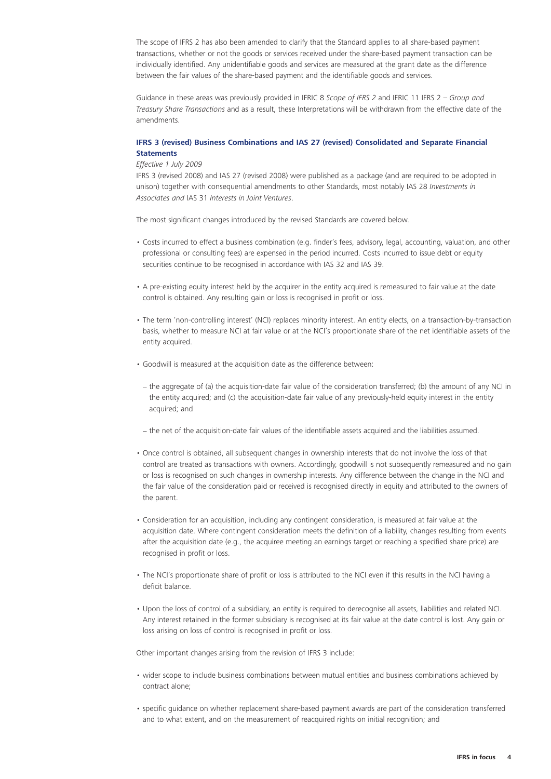The scope of IFRS 2 has also been amended to clarify that the Standard applies to all share-based payment transactions, whether or not the goods or services received under the share-based payment transaction can be individually identified. Any unidentifiable goods and services are measured at the grant date as the difference between the fair values of the share-based payment and the identifiable goods and services.

Guidance in these areas was previously provided in IFRIC 8 *Scope of IFRS 2* and IFRIC 11 IFRS 2 – *Group and Treasury Share Transactions* and as a result, these Interpretations will be withdrawn from the effective date of the amendments.

#### **IFRS 3 (revised) Business Combinations and IAS 27 (revised) Consolidated and Separate Financial Statements**

#### *Effective 1 July 2009*

IFRS 3 (revised 2008) and IAS 27 (revised 2008) were published as a package (and are required to be adopted in unison) together with consequential amendments to other Standards, most notably IAS 28 *Investments in Associates and* IAS 31 *Interests in Joint Ventures*.

The most significant changes introduced by the revised Standards are covered below.

- Costs incurred to effect a business combination (e.g. finder's fees, advisory, legal, accounting, valuation, and other professional or consulting fees) are expensed in the period incurred. Costs incurred to issue debt or equity securities continue to be recognised in accordance with IAS 32 and IAS 39.
- A pre-existing equity interest held by the acquirer in the entity acquired is remeasured to fair value at the date control is obtained. Any resulting gain or loss is recognised in profit or loss.
- The term 'non-controlling interest' (NCI) replaces minority interest. An entity elects, on a transaction-by-transaction basis, whether to measure NCI at fair value or at the NCI's proportionate share of the net identifiable assets of the entity acquired.
- Goodwill is measured at the acquisition date as the difference between:
- − the aggregate of (a) the acquisition-date fair value of the consideration transferred; (b) the amount of any NCI in the entity acquired; and (c) the acquisition-date fair value of any previously-held equity interest in the entity acquired; and
- − the net of the acquisition-date fair values of the identifiable assets acquired and the liabilities assumed.
- Once control is obtained, all subsequent changes in ownership interests that do not involve the loss of that control are treated as transactions with owners. Accordingly, goodwill is not subsequently remeasured and no gain or loss is recognised on such changes in ownership interests. Any difference between the change in the NCI and the fair value of the consideration paid or received is recognised directly in equity and attributed to the owners of the parent.
- Consideration for an acquisition, including any contingent consideration, is measured at fair value at the acquisition date. Where contingent consideration meets the definition of a liability, changes resulting from events after the acquisition date (e.g., the acquiree meeting an earnings target or reaching a specified share price) are recognised in profit or loss.
- The NCI's proportionate share of profit or loss is attributed to the NCI even if this results in the NCI having a deficit balance.
- Upon the loss of control of a subsidiary, an entity is required to derecognise all assets, liabilities and related NCI. Any interest retained in the former subsidiary is recognised at its fair value at the date control is lost. Any gain or loss arising on loss of control is recognised in profit or loss.

Other important changes arising from the revision of IFRS 3 include:

- wider scope to include business combinations between mutual entities and business combinations achieved by contract alone;
- specific guidance on whether replacement share-based payment awards are part of the consideration transferred and to what extent, and on the measurement of reacquired rights on initial recognition; and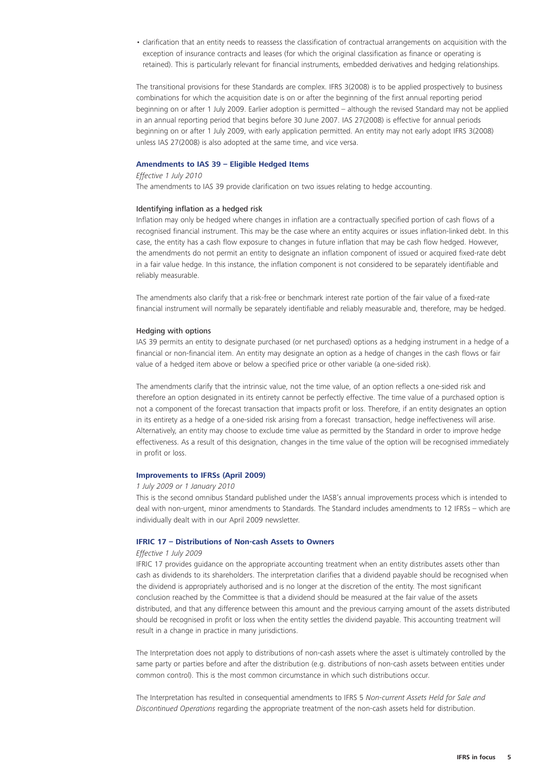• clarification that an entity needs to reassess the classification of contractual arrangements on acquisition with the exception of insurance contracts and leases (for which the original classification as finance or operating is retained). This is particularly relevant for financial instruments, embedded derivatives and hedging relationships.

The transitional provisions for these Standards are complex. IFRS 3(2008) is to be applied prospectively to business combinations for which the acquisition date is on or after the beginning of the first annual reporting period beginning on or after 1 July 2009. Earlier adoption is permitted – although the revised Standard may not be applied in an annual reporting period that begins before 30 June 2007. IAS 27(2008) is effective for annual periods beginning on or after 1 July 2009, with early application permitted. An entity may not early adopt IFRS 3(2008) unless IAS 27(2008) is also adopted at the same time, and vice versa.

#### **Amendments to IAS 39 – Eligible Hedged Items**

#### *Effective 1 July 2010*

The amendments to IAS 39 provide clarification on two issues relating to hedge accounting.

#### Identifying inflation as a hedged risk

Inflation may only be hedged where changes in inflation are a contractually specified portion of cash flows of a recognised financial instrument. This may be the case where an entity acquires or issues inflation-linked debt. In this case, the entity has a cash flow exposure to changes in future inflation that may be cash flow hedged. However, the amendments do not permit an entity to designate an inflation component of issued or acquired fixed-rate debt in a fair value hedge. In this instance, the inflation component is not considered to be separately identifiable and reliably measurable.

The amendments also clarify that a risk-free or benchmark interest rate portion of the fair value of a fixed-rate financial instrument will normally be separately identifiable and reliably measurable and, therefore, may be hedged.

#### Hedging with options

IAS 39 permits an entity to designate purchased (or net purchased) options as a hedging instrument in a hedge of a financial or non-financial item. An entity may designate an option as a hedge of changes in the cash flows or fair value of a hedged item above or below a specified price or other variable (a one-sided risk).

The amendments clarify that the intrinsic value, not the time value, of an option reflects a one-sided risk and therefore an option designated in its entirety cannot be perfectly effective. The time value of a purchased option is not a component of the forecast transaction that impacts profit or loss. Therefore, if an entity designates an option in its entirety as a hedge of a one-sided risk arising from a forecast transaction, hedge ineffectiveness will arise. Alternatively, an entity may choose to exclude time value as permitted by the Standard in order to improve hedge effectiveness. As a result of this designation, changes in the time value of the option will be recognised immediately in profit or loss.

#### **Improvements to IFRSs (April 2009)**

#### *1 July 2009 or 1 January 2010*

This is the second omnibus Standard published under the IASB's annual improvements process which is intended to deal with non-urgent, minor amendments to Standards. The Standard includes amendments to 12 IFRSs – which are individually dealt with in our April 2009 newsletter.

#### **IFRIC 17 – Distributions of Non-cash Assets to Owners**

#### *Effective 1 July 2009*

IFRIC 17 provides guidance on the appropriate accounting treatment when an entity distributes assets other than cash as dividends to its shareholders. The interpretation clarifies that a dividend payable should be recognised when the dividend is appropriately authorised and is no longer at the discretion of the entity. The most significant conclusion reached by the Committee is that a dividend should be measured at the fair value of the assets distributed, and that any difference between this amount and the previous carrying amount of the assets distributed should be recognised in profit or loss when the entity settles the dividend payable. This accounting treatment will result in a change in practice in many jurisdictions.

The Interpretation does not apply to distributions of non-cash assets where the asset is ultimately controlled by the same party or parties before and after the distribution (e.g. distributions of non-cash assets between entities under common control). This is the most common circumstance in which such distributions occur.

The Interpretation has resulted in consequential amendments to IFRS 5 *Non-current Assets Held for Sale and Discontinued Operations* regarding the appropriate treatment of the non-cash assets held for distribution.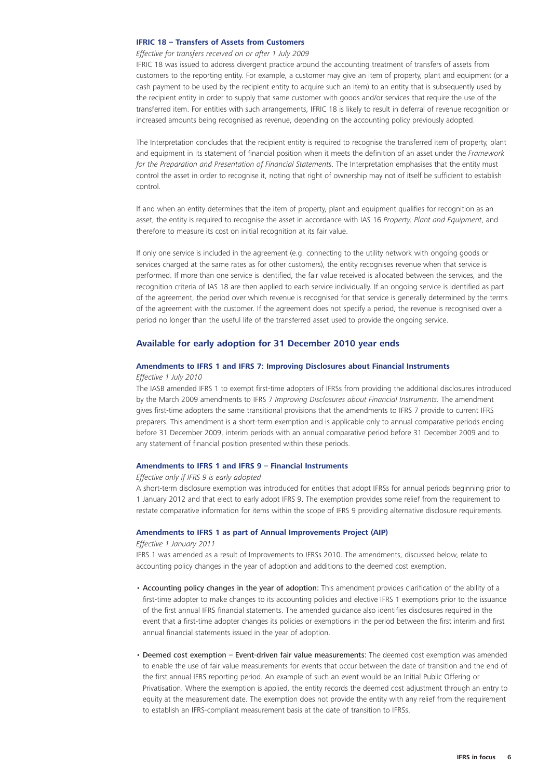#### <span id="page-5-0"></span>**IFRIC 18 – Transfers of Assets from Customers**

#### *Effective for transfers received on or after 1 July 2009*

IFRIC 18 was issued to address divergent practice around the accounting treatment of transfers of assets from customers to the reporting entity. For example, a customer may give an item of property, plant and equipment (or a cash payment to be used by the recipient entity to acquire such an item) to an entity that is subsequently used by the recipient entity in order to supply that same customer with goods and/or services that require the use of the transferred item. For entities with such arrangements, IFRIC 18 is likely to result in deferral of revenue recognition or increased amounts being recognised as revenue, depending on the accounting policy previously adopted.

The Interpretation concludes that the recipient entity is required to recognise the transferred item of property, plant and equipment in its statement of financial position when it meets the definition of an asset under the *Framework for the Preparation and Presentation of Financial Statements*. The Interpretation emphasises that the entity must control the asset in order to recognise it, noting that right of ownership may not of itself be sufficient to establish control.

If and when an entity determines that the item of property, plant and equipment qualifies for recognition as an asset, the entity is required to recognise the asset in accordance with IAS 16 *Property, Plant and Equipment*, and therefore to measure its cost on initial recognition at its fair value.

If only one service is included in the agreement (e.g. connecting to the utility network with ongoing goods or services charged at the same rates as for other customers), the entity recognises revenue when that service is performed. If more than one service is identified, the fair value received is allocated between the services, and the recognition criteria of IAS 18 are then applied to each service individually. If an ongoing service is identified as part of the agreement, the period over which revenue is recognised for that service is generally determined by the terms of the agreement with the customer. If the agreement does not specify a period, the revenue is recognised over a period no longer than the useful life of the transferred asset used to provide the ongoing service.

#### **Available for early adoption for 31 December 2010 year ends**

## **Amendments to IFRS 1 and IFRS 7: Improving Disclosures about Financial Instruments**

#### *Effective 1 July 2010*

The IASB amended IFRS 1 to exempt first-time adopters of IFRSs from providing the additional disclosures introduced by the March 2009 amendments to IFRS 7 *Improving Disclosures about Financial Instruments.* The amendment gives first-time adopters the same transitional provisions that the amendments to IFRS 7 provide to current IFRS preparers. This amendment is a short-term exemption and is applicable only to annual comparative periods ending before 31 December 2009, interim periods with an annual comparative period before 31 December 2009 and to any statement of financial position presented within these periods.

#### **Amendments to IFRS 1 and IFRS 9 – Financial Instruments**

#### *Effective only if IFRS 9 is early adopted*

A short-term disclosure exemption was introduced for entities that adopt IFRSs for annual periods beginning prior to 1 January 2012 and that elect to early adopt IFRS 9. The exemption provides some relief from the requirement to restate comparative information for items within the scope of IFRS 9 providing alternative disclosure requirements.

#### **Amendments to IFRS 1 as part of Annual Improvements Project (AIP)**

#### *Effective 1 January 2011*

IFRS 1 was amended as a result of Improvements to IFRSs 2010. The amendments, discussed below, relate to accounting policy changes in the year of adoption and additions to the deemed cost exemption.

- Accounting policy changes in the year of adoption: This amendment provides clarification of the ability of a first-time adopter to make changes to its accounting policies and elective IFRS 1 exemptions prior to the issuance of the first annual IFRS financial statements. The amended guidance also identifies disclosures required in the event that a first-time adopter changes its policies or exemptions in the period between the first interim and first annual financial statements issued in the year of adoption.
- Deemed cost exemption Event-driven fair value measurements: The deemed cost exemption was amended to enable the use of fair value measurements for events that occur between the date of transition and the end of the first annual IFRS reporting period. An example of such an event would be an Initial Public Offering or Privatisation. Where the exemption is applied, the entity records the deemed cost adjustment through an entry to equity at the measurement date. The exemption does not provide the entity with any relief from the requirement to establish an IFRS-compliant measurement basis at the date of transition to IFRSs.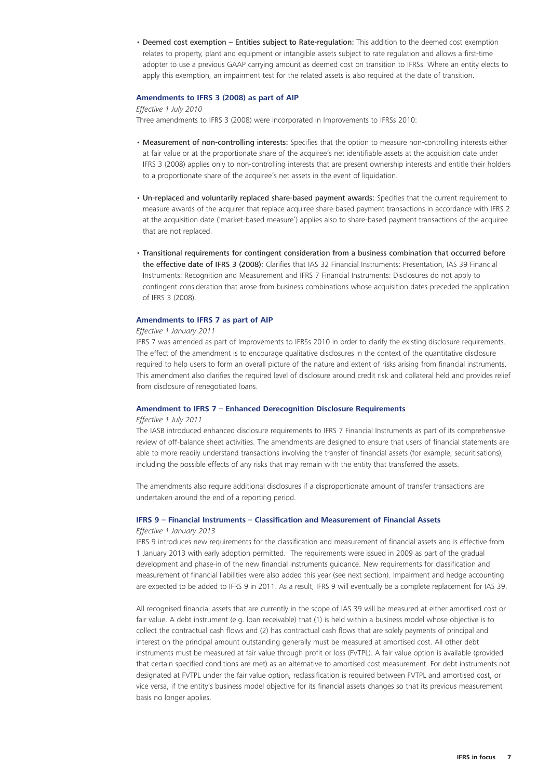• Deemed cost exemption – Entities subject to Rate-regulation: This addition to the deemed cost exemption relates to property, plant and equipment or intangible assets subject to rate regulation and allows a first-time adopter to use a previous GAAP carrying amount as deemed cost on transition to IFRSs. Where an entity elects to apply this exemption, an impairment test for the related assets is also required at the date of transition.

#### **Amendments to IFRS 3 (2008) as part of AIP**

#### *Effective 1 July 2010*

Three amendments to IFRS 3 (2008) were incorporated in Improvements to IFRSs 2010:

- Measurement of non-controlling interests: Specifies that the option to measure non-controlling interests either at fair value or at the proportionate share of the acquiree's net identifiable assets at the acquisition date under IFRS 3 (2008) applies only to non-controlling interests that are present ownership interests and entitle their holders to a proportionate share of the acquiree's net assets in the event of liquidation.
- Un-replaced and voluntarily replaced share-based payment awards: Specifies that the current requirement to measure awards of the acquirer that replace acquiree share-based payment transactions in accordance with IFRS 2 at the acquisition date ('market-based measure') applies also to share-based payment transactions of the acquiree that are not replaced.
- Transitional requirements for contingent consideration from a business combination that occurred before the effective date of IFRS 3 (2008): Clarifies that IAS 32 Financial Instruments: Presentation, IAS 39 Financial Instruments: Recognition and Measurement and IFRS 7 Financial Instruments: Disclosures do not apply to contingent consideration that arose from business combinations whose acquisition dates preceded the application of IFRS 3 (2008).

#### **Amendments to IFRS 7 as part of AIP**

#### *Effective 1 January 2011*

IFRS 7 was amended as part of Improvements to IFRSs 2010 in order to clarify the existing disclosure requirements. The effect of the amendment is to encourage qualitative disclosures in the context of the quantitative disclosure required to help users to form an overall picture of the nature and extent of risks arising from financial instruments. This amendment also clarifies the required level of disclosure around credit risk and collateral held and provides relief from disclosure of renegotiated loans.

#### **Amendment to IFRS 7 – Enhanced Derecognition Disclosure Requirements**

#### *Effective 1 July 2011*

The IASB introduced enhanced disclosure requirements to IFRS 7 Financial Instruments as part of its comprehensive review of off-balance sheet activities. The amendments are designed to ensure that users of financial statements are able to more readily understand transactions involving the transfer of financial assets (for example, securitisations), including the possible effects of any risks that may remain with the entity that transferred the assets.

The amendments also require additional disclosures if a disproportionate amount of transfer transactions are undertaken around the end of a reporting period.

## **IFRS 9 – Financial Instruments – Classification and Measurement of Financial Assets**

#### *Effective 1 January 2013*

IFRS 9 introduces new requirements for the classification and measurement of financial assets and is effective from 1 January 2013 with early adoption permitted. The requirements were issued in 2009 as part of the gradual development and phase-in of the new financial instruments guidance. New requirements for classification and measurement of financial liabilities were also added this year (see next section). Impairment and hedge accounting are expected to be added to IFRS 9 in 2011. As a result, IFRS 9 will eventually be a complete replacement for IAS 39.

All recognised financial assets that are currently in the scope of IAS 39 will be measured at either amortised cost or fair value. A debt instrument (e.g. loan receivable) that (1) is held within a business model whose objective is to collect the contractual cash flows and (2) has contractual cash flows that are solely payments of principal and interest on the principal amount outstanding generally must be measured at amortised cost. All other debt instruments must be measured at fair value through profit or loss (FVTPL). A fair value option is available (provided that certain specified conditions are met) as an alternative to amortised cost measurement. For debt instruments not designated at FVTPL under the fair value option, reclassification is required between FVTPL and amortised cost, or vice versa, if the entity's business model objective for its financial assets changes so that its previous measurement basis no longer applies.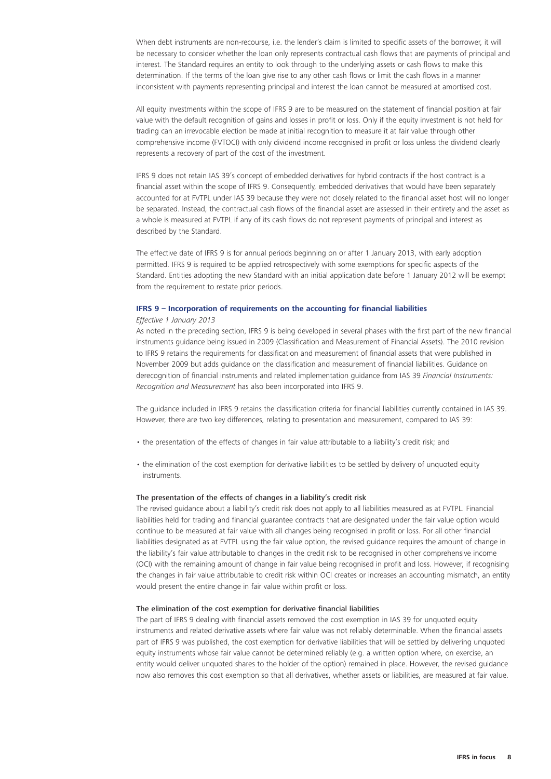When debt instruments are non-recourse, i.e. the lender's claim is limited to specific assets of the borrower, it will be necessary to consider whether the loan only represents contractual cash flows that are payments of principal and interest. The Standard requires an entity to look through to the underlying assets or cash flows to make this determination. If the terms of the loan give rise to any other cash flows or limit the cash flows in a manner inconsistent with payments representing principal and interest the loan cannot be measured at amortised cost.

All equity investments within the scope of IFRS 9 are to be measured on the statement of financial position at fair value with the default recognition of gains and losses in profit or loss. Only if the equity investment is not held for trading can an irrevocable election be made at initial recognition to measure it at fair value through other comprehensive income (FVTOCI) with only dividend income recognised in profit or loss unless the dividend clearly represents a recovery of part of the cost of the investment.

IFRS 9 does not retain IAS 39's concept of embedded derivatives for hybrid contracts if the host contract is a financial asset within the scope of IFRS 9. Consequently, embedded derivatives that would have been separately accounted for at FVTPL under IAS 39 because they were not closely related to the financial asset host will no longer be separated. Instead, the contractual cash flows of the financial asset are assessed in their entirety and the asset as a whole is measured at FVTPL if any of its cash flows do not represent payments of principal and interest as described by the Standard.

The effective date of IFRS 9 is for annual periods beginning on or after 1 January 2013, with early adoption permitted. IFRS 9 is required to be applied retrospectively with some exemptions for specific aspects of the Standard. Entities adopting the new Standard with an initial application date before 1 January 2012 will be exempt from the requirement to restate prior periods.

#### **IFRS 9 – Incorporation of requirements on the accounting for financial liabilities**

#### *Effective 1 January 2013*

As noted in the preceding section, IFRS 9 is being developed in several phases with the first part of the new financial instruments guidance being issued in 2009 (Classification and Measurement of Financial Assets). The 2010 revision to IFRS 9 retains the requirements for classification and measurement of financial assets that were published in November 2009 but adds guidance on the classification and measurement of financial liabilities. Guidance on derecognition of financial instruments and related implementation guidance from IAS 39 *Financial Instruments: Recognition and Measurement* has also been incorporated into IFRS 9.

The guidance included in IFRS 9 retains the classification criteria for financial liabilities currently contained in IAS 39. However, there are two key differences, relating to presentation and measurement, compared to IAS 39:

- the presentation of the effects of changes in fair value attributable to a liability's credit risk; and
- the elimination of the cost exemption for derivative liabilities to be settled by delivery of unquoted equity instruments.

#### The presentation of the effects of changes in a liability's credit risk

The revised guidance about a liability's credit risk does not apply to all liabilities measured as at FVTPL. Financial liabilities held for trading and financial guarantee contracts that are designated under the fair value option would continue to be measured at fair value with all changes being recognised in profit or loss. For all other financial liabilities designated as at FVTPL using the fair value option, the revised guidance requires the amount of change in the liability's fair value attributable to changes in the credit risk to be recognised in other comprehensive income (OCI) with the remaining amount of change in fair value being recognised in profit and loss. However, if recognising the changes in fair value attributable to credit risk within OCI creates or increases an accounting mismatch, an entity would present the entire change in fair value within profit or loss.

#### The elimination of the cost exemption for derivative financial liabilities

The part of IFRS 9 dealing with financial assets removed the cost exemption in IAS 39 for unquoted equity instruments and related derivative assets where fair value was not reliably determinable. When the financial assets part of IFRS 9 was published, the cost exemption for derivative liabilities that will be settled by delivering unquoted equity instruments whose fair value cannot be determined reliably (e.g. a written option where, on exercise, an entity would deliver unquoted shares to the holder of the option) remained in place. However, the revised guidance now also removes this cost exemption so that all derivatives, whether assets or liabilities, are measured at fair value.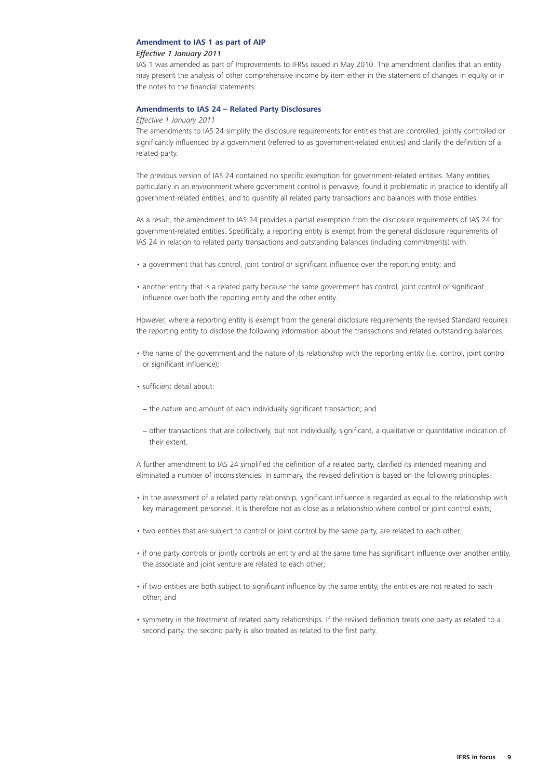#### **Amendment to IAS 1 as part of AIP**

#### *Effective 1 January 2011*

IAS 1 was amended as part of Improvements to IFRSs issued in May 2010. The amendment clarifies that an entity may present the analysis of other comprehensive income by item either in the statement of changes in equity or in the notes to the financial statements.

#### **Amendments to IAS 24 – Related Party Disclosures**

#### *Effective 1 January 2011*

The amendments to IAS 24 simplify the disclosure requirements for entities that are controlled, jointly controlled or significantly influenced by a government (referred to as government-related entities) and clarify the definition of a related party.

The previous version of IAS 24 contained no specific exemption for government-related entities. Many entities, particularly in an environment where government control is pervasive, found it problematic in practice to identify all government-related entities, and to quantify all related party transactions and balances with those entities.

As a result, the amendment to IAS 24 provides a partial exemption from the disclosure requirements of IAS 24 for government-related entities. Specifically, a reporting entity is exempt from the general disclosure requirements of IAS 24 in relation to related party transactions and outstanding balances (including commitments) with:

- a government that has control, joint control or significant influence over the reporting entity; and
- another entity that is a related party because the same government has control, joint control or significant influence over both the reporting entity and the other entity.

However, where a reporting entity is exempt from the general disclosure requirements the revised Standard requires the reporting entity to disclose the following information about the transactions and related outstanding balances:

- the name of the government and the nature of its relationship with the reporting entity (i.e. control, joint control or significant influence);
- sufficient detail about:
- − the nature and amount of each individually significant transaction; and
- − other transactions that are collectively, but not individually, significant, a qualitative or quantitative indication of their extent.

A further amendment to IAS 24 simplified the definition of a related party, clarified its intended meaning and eliminated a number of inconsistencies. In summary, the revised definition is based on the following principles:

- in the assessment of a related party relationship, significant influence is regarded as equal to the relationship with key management personnel. It is therefore not as close as a relationship where control or joint control exists;
- two entities that are subject to control or joint control by the same party, are related to each other;
- if one party controls or jointly controls an entity and at the same time has significant influence over another entity, the associate and joint venture are related to each other;
- if two entities are both subject to significant influence by the same entity, the entities are not related to each other; and
- symmetry in the treatment of related party relationships. If the revised definition treats one party as related to a second party, the second party is also treated as related to the first party.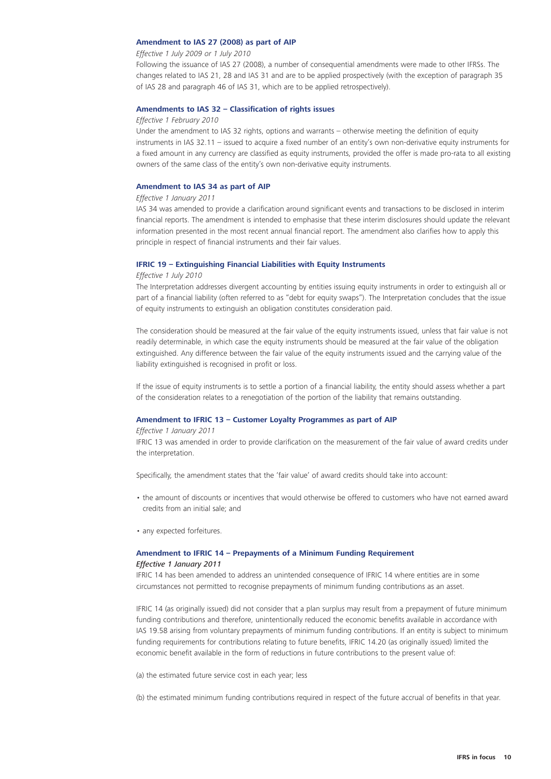#### **Amendment to IAS 27 (2008) as part of AIP**

#### *Effective 1 July 2009 or 1 July 2010*

Following the issuance of IAS 27 (2008), a number of consequential amendments were made to other IFRSs. The changes related to IAS 21, 28 and IAS 31 and are to be applied prospectively (with the exception of paragraph 35 of IAS 28 and paragraph 46 of IAS 31, which are to be applied retrospectively).

#### **Amendments to IAS 32 – Classification of rights issues**

#### *Effective 1 February 2010*

Under the amendment to IAS 32 rights, options and warrants – otherwise meeting the definition of equity instruments in IAS 32.11 – issued to acquire a fixed number of an entity's own non-derivative equity instruments for a fixed amount in any currency are classified as equity instruments, provided the offer is made pro-rata to all existing owners of the same class of the entity's own non-derivative equity instruments.

#### **Amendment to IAS 34 as part of AIP**

#### *Effective 1 January 2011*

IAS 34 was amended to provide a clarification around significant events and transactions to be disclosed in interim financial reports. The amendment is intended to emphasise that these interim disclosures should update the relevant information presented in the most recent annual financial report. The amendment also clarifies how to apply this principle in respect of financial instruments and their fair values.

#### **IFRIC 19 – Extinguishing Financial Liabilities with Equity Instruments**

#### *Effective 1 July 2010*

The Interpretation addresses divergent accounting by entities issuing equity instruments in order to extinguish all or part of a financial liability (often referred to as "debt for equity swaps"). The Interpretation concludes that the issue of equity instruments to extinguish an obligation constitutes consideration paid.

The consideration should be measured at the fair value of the equity instruments issued, unless that fair value is not readily determinable, in which case the equity instruments should be measured at the fair value of the obligation extinguished. Any difference between the fair value of the equity instruments issued and the carrying value of the liability extinguished is recognised in profit or loss.

If the issue of equity instruments is to settle a portion of a financial liability, the entity should assess whether a part of the consideration relates to a renegotiation of the portion of the liability that remains outstanding.

#### **Amendment to IFRIC 13 – Customer Loyalty Programmes as part of AIP**

#### *Effective 1 January 2011*

IFRIC 13 was amended in order to provide clarification on the measurement of the fair value of award credits under the interpretation.

Specifically, the amendment states that the 'fair value' of award credits should take into account:

- the amount of discounts or incentives that would otherwise be offered to customers who have not earned award credits from an initial sale; and
- any expected forfeitures.

#### **Amendment to IFRIC 14 – Prepayments of a Minimum Funding Requirement** *Effective 1 January 2011*

IFRIC 14 has been amended to address an unintended consequence of IFRIC 14 where entities are in some circumstances not permitted to recognise prepayments of minimum funding contributions as an asset.

IFRIC 14 (as originally issued) did not consider that a plan surplus may result from a prepayment of future minimum funding contributions and therefore, unintentionally reduced the economic benefits available in accordance with IAS 19.58 arising from voluntary prepayments of minimum funding contributions. If an entity is subject to minimum funding requirements for contributions relating to future benefits, IFRIC 14.20 (as originally issued) limited the economic benefit available in the form of reductions in future contributions to the present value of:

(a) the estimated future service cost in each year; less

(b) the estimated minimum funding contributions required in respect of the future accrual of benefits in that year.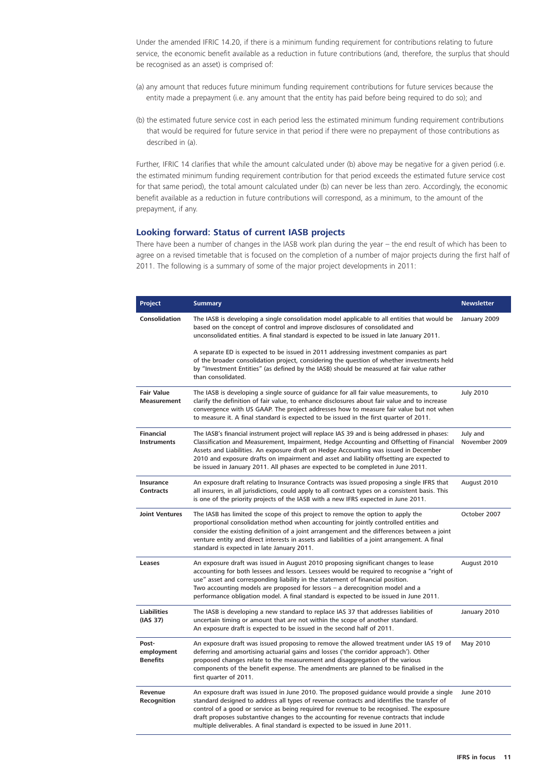<span id="page-10-0"></span>Under the amended IFRIC 14.20, if there is a minimum funding requirement for contributions relating to future service, the economic benefit available as a reduction in future contributions (and, therefore, the surplus that should be recognised as an asset) is comprised of:

- (a) any amount that reduces future minimum funding requirement contributions for future services because the entity made a prepayment (i.e. any amount that the entity has paid before being required to do so); and
- (b) the estimated future service cost in each period less the estimated minimum funding requirement contributions that would be required for future service in that period if there were no prepayment of those contributions as described in (a).

Further, IFRIC 14 clarifies that while the amount calculated under (b) above may be negative for a given period (i.e. the estimated minimum funding requirement contribution for that period exceeds the estimated future service cost for that same period), the total amount calculated under (b) can never be less than zero. Accordingly, the economic benefit available as a reduction in future contributions will correspond, as a minimum, to the amount of the prepayment, if any.

#### **Looking forward: Status of current IASB projects**

There have been a number of changes in the IASB work plan during the year – the end result of which has been to agree on a revised timetable that is focused on the completion of a number of major projects during the first half of 2011. The following is a summary of some of the major project developments in 2011:

| <b>Project</b>                          | <b>Summary</b>                                                                                                                                                                                                                                                                                                                                                                                                                                                     | <b>Newsletter</b>         |
|-----------------------------------------|--------------------------------------------------------------------------------------------------------------------------------------------------------------------------------------------------------------------------------------------------------------------------------------------------------------------------------------------------------------------------------------------------------------------------------------------------------------------|---------------------------|
| <b>Consolidation</b>                    | The IASB is developing a single consolidation model applicable to all entities that would be<br>based on the concept of control and improve disclosures of consolidated and<br>unconsolidated entities. A final standard is expected to be issued in late January 2011.                                                                                                                                                                                            | January 2009              |
|                                         | A separate ED is expected to be issued in 2011 addressing investment companies as part<br>of the broader consolidation project, considering the question of whether investments held<br>by "Investment Entities" (as defined by the IASB) should be measured at fair value rather<br>than consolidated.                                                                                                                                                            |                           |
| <b>Fair Value</b><br><b>Measurement</b> | The IASB is developing a single source of guidance for all fair value measurements, to<br>clarify the definition of fair value, to enhance disclosures about fair value and to increase<br>convergence with US GAAP. The project addresses how to measure fair value but not when<br>to measure it. A final standard is expected to be issued in the first quarter of 2011.                                                                                        | <b>July 2010</b>          |
| <b>Financial</b><br><b>Instruments</b>  | The IASB's financial instrument project will replace IAS 39 and is being addressed in phases:<br>Classification and Measurement, Impairment, Hedge Accounting and Offsetting of Financial<br>Assets and Liabilities. An exposure draft on Hedge Accounting was issued in December<br>2010 and exposure drafts on impairment and asset and liability offsetting are expected to<br>be issued in January 2011. All phases are expected to be completed in June 2011. | July and<br>November 2009 |
| Insurance<br><b>Contracts</b>           | An exposure draft relating to Insurance Contracts was issued proposing a single IFRS that<br>all insurers, in all jurisdictions, could apply to all contract types on a consistent basis. This<br>is one of the priority projects of the IASB with a new IFRS expected in June 2011.                                                                                                                                                                               | August 2010               |
| <b>Joint Ventures</b>                   | The IASB has limited the scope of this project to remove the option to apply the<br>proportional consolidation method when accounting for jointly controlled entities and<br>consider the existing definition of a joint arrangement and the differences between a joint<br>venture entity and direct interests in assets and liabilities of a joint arrangement. A final<br>standard is expected in late January 2011.                                            | October 2007              |
| Leases                                  | An exposure draft was issued in August 2010 proposing significant changes to lease<br>accounting for both lessees and lessors. Lessees would be required to recognise a "right of<br>use" asset and corresponding liability in the statement of financial position.<br>Two accounting models are proposed for lessors - a derecognition model and a<br>performance obligation model. A final standard is expected to be issued in June 2011.                       | August 2010               |
| <b>Liabilities</b><br>(IAS 37)          | The IASB is developing a new standard to replace IAS 37 that addresses liabilities of<br>uncertain timing or amount that are not within the scope of another standard.<br>An exposure draft is expected to be issued in the second half of 2011.                                                                                                                                                                                                                   | January 2010              |
| Post-<br>employment<br><b>Benefits</b>  | An exposure draft was issued proposing to remove the allowed treatment under IAS 19 of<br>deferring and amortising actuarial gains and losses ('the corridor approach'). Other<br>proposed changes relate to the measurement and disaggregation of the various<br>components of the benefit expense. The amendments are planned to be finalised in the<br>first quarter of 2011.                                                                                   | May 2010                  |
| Revenue<br>Recognition                  | An exposure draft was issued in June 2010. The proposed quidance would provide a single<br>standard designed to address all types of revenue contracts and identifies the transfer of<br>control of a good or service as being required for revenue to be recognised. The exposure<br>draft proposes substantive changes to the accounting for revenue contracts that include<br>multiple deliverables. A final standard is expected to be issued in June 2011.    | June 2010                 |